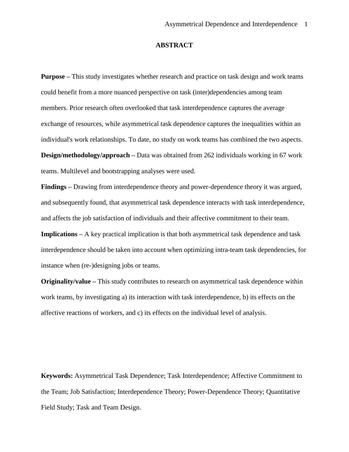## **ABSTRACT**

**Purpose –** This study investigates whether research and practice on task design and work teams could benefit from a more nuanced perspective on task (inter)dependencies among team members. Prior research often overlooked that task interdependence captures the average exchange of resources, while asymmetrical task dependence captures the inequalities within an individual's work relationships. To date, no study on work teams has combined the two aspects. **Design/methodology/approach –** Data was obtained from 262 individuals working in 67 work teams. Multilevel and bootstrapping analyses were used.

**Findings –** Drawing from interdependence theory and power-dependence theory it was argued, and subsequently found, that asymmetrical task dependence interacts with task interdependence, and affects the job satisfaction of individuals and their affective commitment to their team.

**Implications** – A key practical implication is that both asymmetrical task dependence and task interdependence should be taken into account when optimizing intra-team task dependencies, for instance when (re-)designing jobs or teams.

**Originality/value –** This study contributes to research on asymmetrical task dependence within work teams, by investigating a) its interaction with task interdependence, b) its effects on the affective reactions of workers, and c) its effects on the individual level of analysis.

**Keywords:** Asymmetrical Task Dependence; Task Interdependence; Affective Commitment to the Team; Job Satisfaction; Interdependence Theory; Power-Dependence Theory; Quantitative Field Study; Task and Team Design.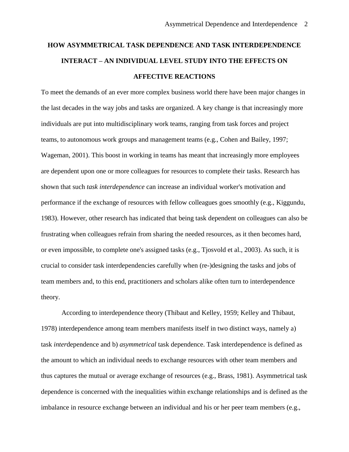# **HOW ASYMMETRICAL TASK DEPENDENCE AND TASK INTERDEPENDENCE INTERACT – AN INDIVIDUAL LEVEL STUDY INTO THE EFFECTS ON AFFECTIVE REACTIONS**

To meet the demands of an ever more complex business world there have been major changes in the last decades in the way jobs and tasks are organized. A key change is that increasingly more individuals are put into multidisciplinary work teams, ranging from task forces and project teams, to autonomous work groups and management teams (e.g., Cohen and Bailey, 1997; Wageman, 2001). This boost in working in teams has meant that increasingly more employees are dependent upon one or more colleagues for resources to complete their tasks. Research has shown that such *task interdependence* can increase an individual worker's motivation and performance if the exchange of resources with fellow colleagues goes smoothly (e.g., Kiggundu, 1983). However, other research has indicated that being task dependent on colleagues can also be frustrating when colleagues refrain from sharing the needed resources, as it then becomes hard, or even impossible, to complete one's assigned tasks (e.g., Tjosvold et al., 2003). As such, it is crucial to consider task interdependencies carefully when (re-)designing the tasks and jobs of team members and, to this end, practitioners and scholars alike often turn to interdependence theory.

According to interdependence theory (Thibaut and Kelley, 1959; Kelley and Thibaut, 1978) interdependence among team members manifests itself in two distinct ways, namely a) task *inter*dependence and b) *asymmetrical* task dependence. Task interdependence is defined as the amount to which an individual needs to exchange resources with other team members and thus captures the mutual or average exchange of resources (e.g., Brass, 1981). Asymmetrical task dependence is concerned with the inequalities within exchange relationships and is defined as the imbalance in resource exchange between an individual and his or her peer team members (e.g.,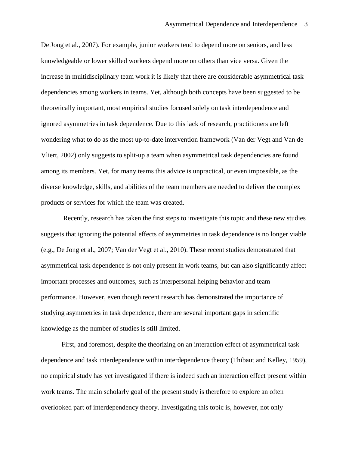De Jong et al., 2007). For example, junior workers tend to depend more on seniors, and less knowledgeable or lower skilled workers depend more on others than vice versa. Given the increase in multidisciplinary team work it is likely that there are considerable asymmetrical task dependencies among workers in teams. Yet, although both concepts have been suggested to be theoretically important, most empirical studies focused solely on task interdependence and ignored asymmetries in task dependence. Due to this lack of research, practitioners are left wondering what to do as the most up-to-date intervention framework (Van der Vegt and Van de Vliert, 2002) only suggests to split-up a team when asymmetrical task dependencies are found among its members. Yet, for many teams this advice is unpractical, or even impossible, as the diverse knowledge, skills, and abilities of the team members are needed to deliver the complex products or services for which the team was created.

Recently, research has taken the first steps to investigate this topic and these new studies suggests that ignoring the potential effects of asymmetries in task dependence is no longer viable (e.g., De Jong et al., 2007; Van der Vegt et al., 2010). These recent studies demonstrated that asymmetrical task dependence is not only present in work teams, but can also significantly affect important processes and outcomes, such as interpersonal helping behavior and team performance. However, even though recent research has demonstrated the importance of studying asymmetries in task dependence, there are several important gaps in scientific knowledge as the number of studies is still limited.

First, and foremost, despite the theorizing on an interaction effect of asymmetrical task dependence and task interdependence within interdependence theory (Thibaut and Kelley, 1959), no empirical study has yet investigated if there is indeed such an interaction effect present within work teams. The main scholarly goal of the present study is therefore to explore an often overlooked part of interdependency theory. Investigating this topic is, however, not only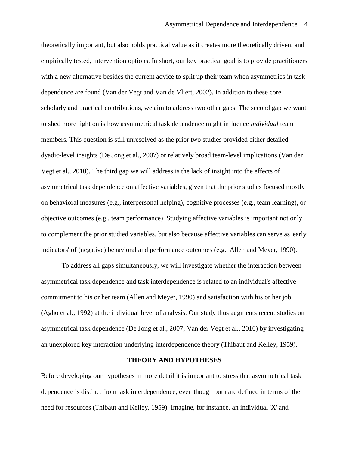theoretically important, but also holds practical value as it creates more theoretically driven, and empirically tested, intervention options. In short, our key practical goal is to provide practitioners with a new alternative besides the current advice to split up their team when asymmetries in task dependence are found (Van der Vegt and Van de Vliert, 2002). In addition to these core scholarly and practical contributions, we aim to address two other gaps. The second gap we want to shed more light on is how asymmetrical task dependence might influence *individual* team members. This question is still unresolved as the prior two studies provided either detailed dyadic-level insights (De Jong et al., 2007) or relatively broad team-level implications (Van der Vegt et al., 2010). The third gap we will address is the lack of insight into the effects of asymmetrical task dependence on affective variables, given that the prior studies focused mostly on behavioral measures (e.g., interpersonal helping), cognitive processes (e.g., team learning), or objective outcomes (e.g., team performance). Studying affective variables is important not only to complement the prior studied variables, but also because affective variables can serve as 'early indicators' of (negative) behavioral and performance outcomes (e.g., Allen and Meyer, 1990).

To address all gaps simultaneously, we will investigate whether the interaction between asymmetrical task dependence and task interdependence is related to an individual's affective commitment to his or her team (Allen and Meyer, 1990) and satisfaction with his or her job (Agho et al., 1992) at the individual level of analysis. Our study thus augments recent studies on asymmetrical task dependence (De Jong et al., 2007; Van der Vegt et al., 2010) by investigating an unexplored key interaction underlying interdependence theory (Thibaut and Kelley, 1959).

#### **THEORY AND HYPOTHESES**

Before developing our hypotheses in more detail it is important to stress that asymmetrical task dependence is distinct from task interdependence, even though both are defined in terms of the need for resources (Thibaut and Kelley, 1959). Imagine, for instance, an individual 'X' and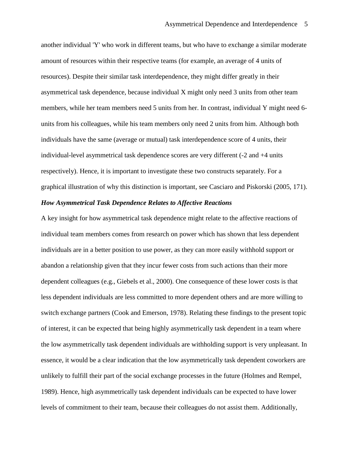another individual 'Y' who work in different teams, but who have to exchange a similar moderate amount of resources within their respective teams (for example, an average of 4 units of resources). Despite their similar task interdependence, they might differ greatly in their asymmetrical task dependence, because individual X might only need 3 units from other team members, while her team members need 5 units from her. In contrast, individual Y might need 6 units from his colleagues, while his team members only need 2 units from him. Although both individuals have the same (average or mutual) task interdependence score of 4 units, their individual-level asymmetrical task dependence scores are very different (-2 and +4 units respectively). Hence, it is important to investigate these two constructs separately. For a graphical illustration of why this distinction is important, see Casciaro and Piskorski (2005, 171).

## *How Asymmetrical Task Dependence Relates to Affective Reactions*

A key insight for how asymmetrical task dependence might relate to the affective reactions of individual team members comes from research on power which has shown that less dependent individuals are in a better position to use power, as they can more easily withhold support or abandon a relationship given that they incur fewer costs from such actions than their more dependent colleagues (e.g., Giebels et al., 2000). One consequence of these lower costs is that less dependent individuals are less committed to more dependent others and are more willing to switch exchange partners (Cook and Emerson, 1978). Relating these findings to the present topic of interest, it can be expected that being highly asymmetrically task dependent in a team where the low asymmetrically task dependent individuals are withholding support is very unpleasant. In essence, it would be a clear indication that the low asymmetrically task dependent coworkers are unlikely to fulfill their part of the social exchange processes in the future (Holmes and Rempel, 1989). Hence, high asymmetrically task dependent individuals can be expected to have lower levels of commitment to their team, because their colleagues do not assist them. Additionally,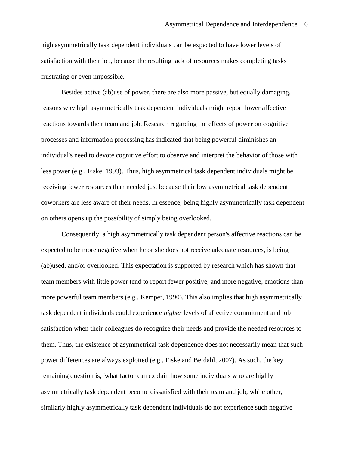high asymmetrically task dependent individuals can be expected to have lower levels of satisfaction with their job, because the resulting lack of resources makes completing tasks frustrating or even impossible.

Besides active (ab)use of power, there are also more passive, but equally damaging, reasons why high asymmetrically task dependent individuals might report lower affective reactions towards their team and job. Research regarding the effects of power on cognitive processes and information processing has indicated that being powerful diminishes an individual's need to devote cognitive effort to observe and interpret the behavior of those with less power (e.g., Fiske, 1993). Thus, high asymmetrical task dependent individuals might be receiving fewer resources than needed just because their low asymmetrical task dependent coworkers are less aware of their needs. In essence, being highly asymmetrically task dependent on others opens up the possibility of simply being overlooked.

Consequently, a high asymmetrically task dependent person's affective reactions can be expected to be more negative when he or she does not receive adequate resources, is being (ab)used, and/or overlooked. This expectation is supported by research which has shown that team members with little power tend to report fewer positive, and more negative, emotions than more powerful team members (e.g., Kemper, 1990). This also implies that high asymmetrically task dependent individuals could experience *higher* levels of affective commitment and job satisfaction when their colleagues do recognize their needs and provide the needed resources to them. Thus, the existence of asymmetrical task dependence does not necessarily mean that such power differences are always exploited (e.g., Fiske and Berdahl, 2007). As such, the key remaining question is; 'what factor can explain how some individuals who are highly asymmetrically task dependent become dissatisfied with their team and job, while other, similarly highly asymmetrically task dependent individuals do not experience such negative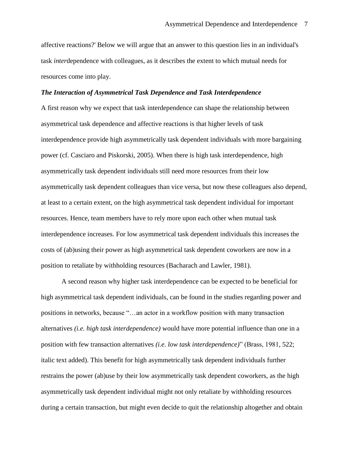affective reactions?' Below we will argue that an answer to this question lies in an individual's task *inter*dependence with colleagues, as it describes the extent to which mutual needs for resources come into play.

## *The Interaction of Asymmetrical Task Dependence and Task Interdependence*

A first reason why we expect that task interdependence can shape the relationship between asymmetrical task dependence and affective reactions is that higher levels of task interdependence provide high asymmetrically task dependent individuals with more bargaining power (cf. Casciaro and Piskorski, 2005). When there is high task interdependence, high asymmetrically task dependent individuals still need more resources from their low asymmetrically task dependent colleagues than vice versa, but now these colleagues also depend, at least to a certain extent, on the high asymmetrical task dependent individual for important resources. Hence, team members have to rely more upon each other when mutual task interdependence increases. For low asymmetrical task dependent individuals this increases the costs of (ab)using their power as high asymmetrical task dependent coworkers are now in a position to retaliate by withholding resources (Bacharach and Lawler, 1981).

A second reason why higher task interdependence can be expected to be beneficial for high asymmetrical task dependent individuals, can be found in the studies regarding power and positions in networks, because "…an actor in a workflow position with many transaction alternatives *(i.e. high task interdependence)* would have more potential influence than one in a position with few transaction alternatives *(i.e. low task interdependence)*" (Brass, 1981, 522; italic text added). This benefit for high asymmetrically task dependent individuals further restrains the power (ab)use by their low asymmetrically task dependent coworkers, as the high asymmetrically task dependent individual might not only retaliate by withholding resources during a certain transaction, but might even decide to quit the relationship altogether and obtain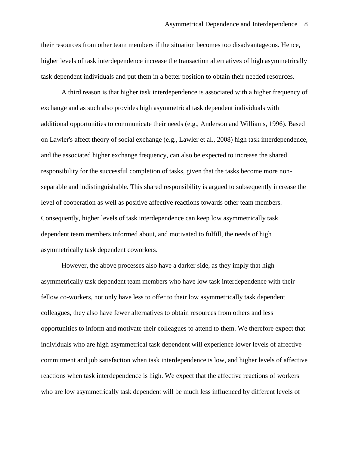their resources from other team members if the situation becomes too disadvantageous. Hence, higher levels of task interdependence increase the transaction alternatives of high asymmetrically task dependent individuals and put them in a better position to obtain their needed resources.

A third reason is that higher task interdependence is associated with a higher frequency of exchange and as such also provides high asymmetrical task dependent individuals with additional opportunities to communicate their needs (e.g., Anderson and Williams, 1996). Based on Lawler's affect theory of social exchange (e.g., Lawler et al., 2008) high task interdependence, and the associated higher exchange frequency, can also be expected to increase the shared responsibility for the successful completion of tasks, given that the tasks become more nonseparable and indistinguishable. This shared responsibility is argued to subsequently increase the level of cooperation as well as positive affective reactions towards other team members. Consequently, higher levels of task interdependence can keep low asymmetrically task dependent team members informed about, and motivated to fulfill, the needs of high asymmetrically task dependent coworkers.

However, the above processes also have a darker side, as they imply that high asymmetrically task dependent team members who have low task interdependence with their fellow co-workers, not only have less to offer to their low asymmetrically task dependent colleagues, they also have fewer alternatives to obtain resources from others and less opportunities to inform and motivate their colleagues to attend to them. We therefore expect that individuals who are high asymmetrical task dependent will experience lower levels of affective commitment and job satisfaction when task interdependence is low, and higher levels of affective reactions when task interdependence is high. We expect that the affective reactions of workers who are low asymmetrically task dependent will be much less influenced by different levels of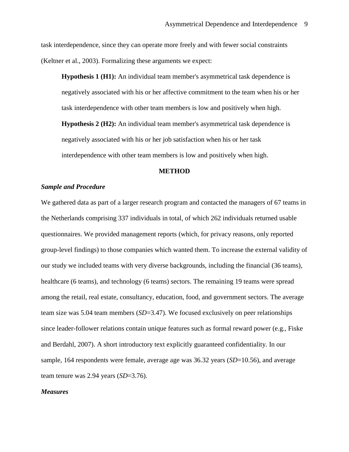task interdependence, since they can operate more freely and with fewer social constraints (Keltner et al., 2003). Formalizing these arguments we expect:

**Hypothesis 1 (H1):** An individual team member's asymmetrical task dependence is negatively associated with his or her affective commitment to the team when his or her task interdependence with other team members is low and positively when high.

**Hypothesis 2 (H2):** An individual team member's asymmetrical task dependence is negatively associated with his or her job satisfaction when his or her task interdependence with other team members is low and positively when high.

#### **METHOD**

## *Sample and Procedure*

We gathered data as part of a larger research program and contacted the managers of 67 teams in the Netherlands comprising 337 individuals in total, of which 262 individuals returned usable questionnaires. We provided management reports (which, for privacy reasons, only reported group-level findings) to those companies which wanted them. To increase the external validity of our study we included teams with very diverse backgrounds, including the financial (36 teams), healthcare (6 teams), and technology (6 teams) sectors. The remaining 19 teams were spread among the retail, real estate, consultancy, education, food, and government sectors. The average team size was 5.04 team members (*SD*=3.47). We focused exclusively on peer relationships since leader-follower relations contain unique features such as formal reward power (e.g., Fiske and Berdahl, 2007). A short introductory text explicitly guaranteed confidentiality. In our sample, 164 respondents were female, average age was 36.32 years (*SD*=10.56), and average team tenure was 2.94 years (*SD*=3.76).

#### *Measures*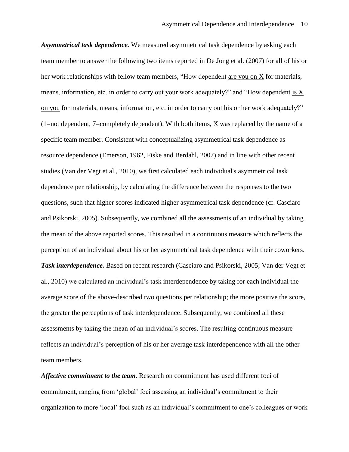*Asymmetrical task dependence.* We measured asymmetrical task dependence by asking each team member to answer the following two items reported in De Jong et al. (2007) for all of his or her work relationships with fellow team members, "How dependent are you on X for materials, means, information, etc. in order to carry out your work adequately?" and "How dependent is X on you for materials, means, information, etc. in order to carry out his or her work adequately?" (1=not dependent, 7=completely dependent). With both items, X was replaced by the name of a specific team member. Consistent with conceptualizing asymmetrical task dependence as resource dependence (Emerson, 1962, Fiske and Berdahl, 2007) and in line with other recent studies (Van der Vegt et al., 2010), we first calculated each individual's asymmetrical task dependence per relationship, by calculating the difference between the responses to the two questions, such that higher scores indicated higher asymmetrical task dependence (cf. Casciaro and Psikorski, 2005). Subsequently, we combined all the assessments of an individual by taking the mean of the above reported scores. This resulted in a continuous measure which reflects the perception of an individual about his or her asymmetrical task dependence with their coworkers. *Task interdependence.* Based on recent research (Casciaro and Psikorski, 2005; Van der Vegt et al., 2010) we calculated an individual's task interdependence by taking for each individual the average score of the above-described two questions per relationship; the more positive the score, the greater the perceptions of task interdependence. Subsequently, we combined all these assessments by taking the mean of an individual's scores. The resulting continuous measure reflects an individual's perception of his or her average task interdependence with all the other team members.

*Affective commitment to the team.* Research on commitment has used different foci of commitment, ranging from 'global' foci assessing an individual's commitment to their organization to more 'local' foci such as an individual's commitment to one's colleagues or work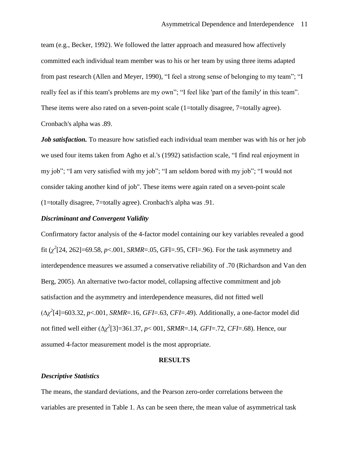team (e.g., Becker, 1992). We followed the latter approach and measured how affectively committed each individual team member was to his or her team by using three items adapted from past research (Allen and Meyer, 1990), "I feel a strong sense of belonging to my team"; "I really feel as if this team's problems are my own"; "I feel like 'part of the family' in this team". These items were also rated on a seven-point scale (1=totally disagree, 7=totally agree). Cronbach's alpha was .89.

*Job satisfaction.* To measure how satisfied each individual team member was with his or her job we used four items taken from Agho et al.'s (1992) satisfaction scale, "I find real enjoyment in my job"; "I am very satisfied with my job"; "I am seldom bored with my job"; "I would not consider taking another kind of job". These items were again rated on a seven-point scale (1=totally disagree, 7=totally agree). Cronbach's alpha was .91.

## *Discriminant and Convergent Validity*

Confirmatory factor analysis of the 4-factor model containing our key variables revealed a good fit  $(\chi^2[24, 262] = 69.58, p < .001, SRMR = .05, GFI = .95, CFI = .96)$ . For the task asymmetry and interdependence measures we assumed a conservative reliability of .70 (Richardson and Van den Berg, 2005). An alternative two-factor model, collapsing affective commitment and job satisfaction and the asymmetry and interdependence measures, did not fitted well (∆*χ 2* [4]=603.32, *p*<.001, *SRMR*=.16, *GFI*=.63, *CFI*=.49). Additionally, a one-factor model did not fitted well either (∆*χ 2* [3]=361.37, *p*< 001, *SRMR*=.14, *GFI*=.72, *CFI*=.68). Hence, our assumed 4-factor measurement model is the most appropriate.

#### **RESULTS**

#### *Descriptive Statistics*

The means, the standard deviations, and the Pearson zero-order correlations between the variables are presented in Table 1. As can be seen there, the mean value of asymmetrical task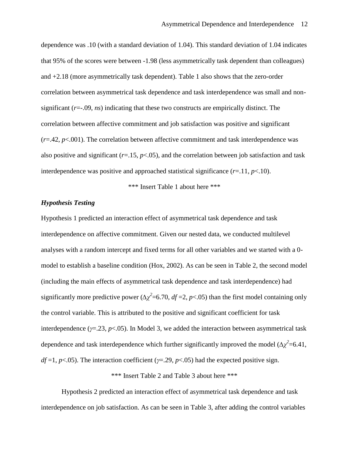dependence was .10 (with a standard deviation of 1.04). This standard deviation of 1.04 indicates that 95% of the scores were between -1.98 (less asymmetrically task dependent than colleagues) and +2.18 (more asymmetrically task dependent). Table 1 also shows that the zero-order correlation between asymmetrical task dependence and task interdependence was small and nonsignificant (*r*=-.09, *ns*) indicating that these two constructs are empirically distinct. The correlation between affective commitment and job satisfaction was positive and significant  $(r=.42, p<.001)$ . The correlation between affective commitment and task interdependence was also positive and significant  $(r=15, p<0.05)$ , and the correlation between job satisfaction and task interdependence was positive and approached statistical significance  $(r=11, p<.10)$ .

\*\*\* Insert Table 1 about here \*\*\*

## *Hypothesis Testing*

Hypothesis 1 predicted an interaction effect of asymmetrical task dependence and task interdependence on affective commitment. Given our nested data, we conducted multilevel analyses with a random intercept and fixed terms for all other variables and we started with a 0 model to establish a baseline condition (Hox, 2002). As can be seen in Table 2, the second model (including the main effects of asymmetrical task dependence and task interdependence) had significantly more predictive power ( $\Delta \chi^2$ =6.70, *df* =2, *p*<.05) than the first model containing only the control variable. This is attributed to the positive and significant coefficient for task interdependence  $(y=0.23, p<0.05)$ . In Model 3, we added the interaction between asymmetrical task dependence and task interdependence which further significantly improved the model  $(\Delta \chi^2 = 6.41)$ , *df* =1, *p*<.05). The interaction coefficient (*γ*=.29, *p*<.05) had the expected positive sign.

\*\*\* Insert Table 2 and Table 3 about here \*\*\*

Hypothesis 2 predicted an interaction effect of asymmetrical task dependence and task interdependence on job satisfaction. As can be seen in Table 3, after adding the control variables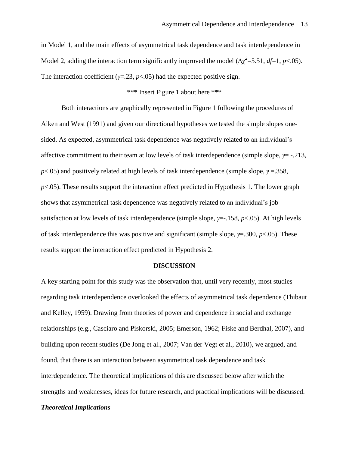in Model 1, and the main effects of asymmetrical task dependence and task interdependence in Model 2, adding the interaction term significantly improved the model ( $\Delta \chi^2$ =5.51, *df*=1, *p*<.05). The interaction coefficient ( $\gamma$ =.23,  $p$ <.05) had the expected positive sign.

## \*\*\* Insert Figure 1 about here \*\*\*

Both interactions are graphically represented in Figure 1 following the procedures of Aiken and West (1991) and given our directional hypotheses we tested the simple slopes onesided. As expected, asymmetrical task dependence was negatively related to an individual's affective commitment to their team at low levels of task interdependence (simple slope, *γ*= -.213, *p*<.05) and positively related at high levels of task interdependence (simple slope, *γ* =.358,  $p$ <.05). These results support the interaction effect predicted in Hypothesis 1. The lower graph shows that asymmetrical task dependence was negatively related to an individual's job satisfaction at low levels of task interdependence (simple slope, *γ*=-.158, *p*<.05). At high levels of task interdependence this was positive and significant (simple slope, *γ*=.300, *p*<.05). These results support the interaction effect predicted in Hypothesis 2.

## **DISCUSSION**

A key starting point for this study was the observation that, until very recently, most studies regarding task interdependence overlooked the effects of asymmetrical task dependence (Thibaut and Kelley, 1959). Drawing from theories of power and dependence in social and exchange relationships (e.g., Casciaro and Piskorski, 2005; Emerson, 1962; Fiske and Berdhal, 2007), and building upon recent studies (De Jong et al., 2007; Van der Vegt et al., 2010), we argued, and found, that there is an interaction between asymmetrical task dependence and task interdependence. The theoretical implications of this are discussed below after which the strengths and weaknesses, ideas for future research, and practical implications will be discussed.

## *Theoretical Implications*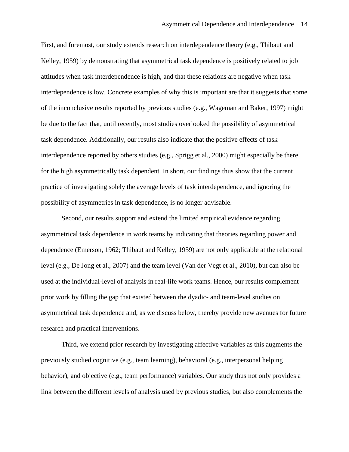First, and foremost, our study extends research on interdependence theory (e.g., Thibaut and Kelley, 1959) by demonstrating that asymmetrical task dependence is positively related to job attitudes when task interdependence is high, and that these relations are negative when task interdependence is low. Concrete examples of why this is important are that it suggests that some of the inconclusive results reported by previous studies (e.g., Wageman and Baker, 1997) might be due to the fact that, until recently, most studies overlooked the possibility of asymmetrical task dependence. Additionally, our results also indicate that the positive effects of task interdependence reported by others studies (e.g., Sprigg et al., 2000) might especially be there for the high asymmetrically task dependent. In short, our findings thus show that the current practice of investigating solely the average levels of task interdependence, and ignoring the possibility of asymmetries in task dependence, is no longer advisable.

Second, our results support and extend the limited empirical evidence regarding asymmetrical task dependence in work teams by indicating that theories regarding power and dependence (Emerson, 1962; Thibaut and Kelley, 1959) are not only applicable at the relational level (e.g., De Jong et al., 2007) and the team level (Van der Vegt et al., 2010), but can also be used at the individual-level of analysis in real-life work teams. Hence, our results complement prior work by filling the gap that existed between the dyadic- and team-level studies on asymmetrical task dependence and, as we discuss below, thereby provide new avenues for future research and practical interventions.

Third, we extend prior research by investigating affective variables as this augments the previously studied cognitive (e.g., team learning), behavioral (e.g., interpersonal helping behavior), and objective (e.g., team performance) variables. Our study thus not only provides a link between the different levels of analysis used by previous studies, but also complements the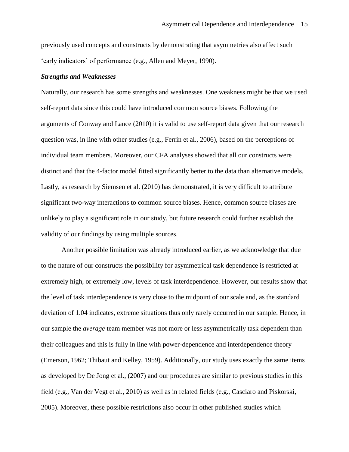previously used concepts and constructs by demonstrating that asymmetries also affect such 'early indicators' of performance (e.g., Allen and Meyer, 1990).

#### *Strengths and Weaknesses*

Naturally, our research has some strengths and weaknesses. One weakness might be that we used self-report data since this could have introduced common source biases. Following the arguments of Conway and Lance (2010) it is valid to use self-report data given that our research question was, in line with other studies (e.g., Ferrin et al., 2006), based on the perceptions of individual team members. Moreover, our CFA analyses showed that all our constructs were distinct and that the 4-factor model fitted significantly better to the data than alternative models. Lastly, as research by Siemsen et al. (2010) has demonstrated, it is very difficult to attribute significant two-way interactions to common source biases. Hence, common source biases are unlikely to play a significant role in our study, but future research could further establish the validity of our findings by using multiple sources.

Another possible limitation was already introduced earlier, as we acknowledge that due to the nature of our constructs the possibility for asymmetrical task dependence is restricted at extremely high, or extremely low, levels of task interdependence. However, our results show that the level of task interdependence is very close to the midpoint of our scale and, as the standard deviation of 1.04 indicates, extreme situations thus only rarely occurred in our sample. Hence, in our sample the *average* team member was not more or less asymmetrically task dependent than their colleagues and this is fully in line with power-dependence and interdependence theory (Emerson, 1962; Thibaut and Kelley, 1959). Additionally, our study uses exactly the same items as developed by De Jong et al., (2007) and our procedures are similar to previous studies in this field (e.g., Van der Vegt et al., 2010) as well as in related fields (e.g., Casciaro and Piskorski, 2005). Moreover, these possible restrictions also occur in other published studies which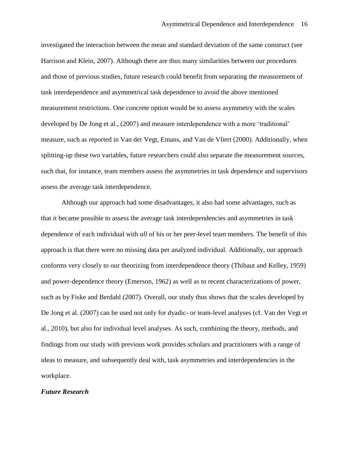investigated the interaction between the mean and standard deviation of the same construct (see Harrison and Klein, 2007). Although there are thus many similarities between our procedures and those of previous studies, future research could benefit from separating the measurement of task interdependence and asymmetrical task dependence to avoid the above mentioned measurement restrictions. One concrete option would be to assess asymmetry with the scales developed by De Jong et al., (2007) and measure interdependence with a more 'traditional' measure, such as reported in Van der Vegt, Emans, and Van de Vliert (2000). Additionally, when splitting-up these two variables, future researchers could also separate the measurement sources, such that, for instance, team members assess the asymmetries in task dependence and supervisors assess the average task interdependence.

Although our approach had some disadvantages, it also had some advantages, such as that it became possible to assess the average task interdependencies and asymmetries in task dependence of each individual with *all* of his or her peer-level team members. The benefit of this approach is that there were no missing data per analyzed individual. Additionally, our approach conforms very closely to our theorizing from interdependence theory (Thibaut and Kelley, 1959) and power-dependence theory (Emerson, 1962) as well as to recent characterizations of power, such as by Fiske and Berdahl (2007). Overall, our study thus shows that the scales developed by De Jong et al. (2007) can be used not only for dyadic- or team-level analyses (cf. Van der Vegt et al., 2010), but also for individual level analyses. As such, combining the theory, methods, and findings from our study with previous work provides scholars and practitioners with a range of ideas to measure, and subsequently deal with, task asymmetries and interdependencies in the workplace.

#### *Future Research*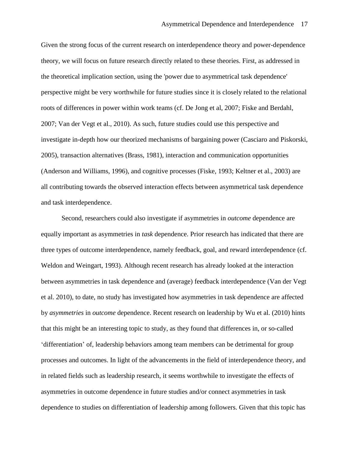Given the strong focus of the current research on interdependence theory and power-dependence theory, we will focus on future research directly related to these theories. First, as addressed in the theoretical implication section, using the 'power due to asymmetrical task dependence' perspective might be very worthwhile for future studies since it is closely related to the relational roots of differences in power within work teams (cf. De Jong et al, 2007; Fiske and Berdahl, 2007; Van der Vegt et al., 2010). As such, future studies could use this perspective and investigate in-depth how our theorized mechanisms of bargaining power (Casciaro and Piskorski, 2005), transaction alternatives (Brass, 1981), interaction and communication opportunities (Anderson and Williams, 1996), and cognitive processes (Fiske, 1993; Keltner et al., 2003) are all contributing towards the observed interaction effects between asymmetrical task dependence and task interdependence.

Second, researchers could also investigate if asymmetries in *outcome* dependence are equally important as asymmetries in *task* dependence. Prior research has indicated that there are three types of outcome interdependence, namely feedback, goal, and reward interdependence (cf. Weldon and Weingart, 1993). Although recent research has already looked at the interaction between asymmetries in task dependence and (average) feedback interdependence (Van der Vegt et al. 2010), to date, no study has investigated how asymmetries in task dependence are affected by *asymmetries* in *outcome* dependence. Recent research on leadership by Wu et al. (2010) hints that this might be an interesting topic to study, as they found that differences in, or so-called 'differentiation' of, leadership behaviors among team members can be detrimental for group processes and outcomes. In light of the advancements in the field of interdependence theory, and in related fields such as leadership research, it seems worthwhile to investigate the effects of asymmetries in outcome dependence in future studies and/or connect asymmetries in task dependence to studies on differentiation of leadership among followers. Given that this topic has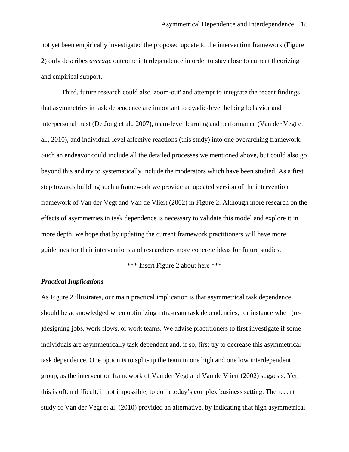not yet been empirically investigated the proposed update to the intervention framework (Figure 2) only describes *average* outcome interdependence in order to stay close to current theorizing and empirical support.

Third, future research could also 'zoom-out' and attempt to integrate the recent findings that asymmetries in task dependence are important to dyadic-level helping behavior and interpersonal trust (De Jong et al., 2007), team-level learning and performance (Van der Vegt et al., 2010), and individual-level affective reactions (this study) into one overarching framework. Such an endeavor could include all the detailed processes we mentioned above, but could also go beyond this and try to systematically include the moderators which have been studied. As a first step towards building such a framework we provide an updated version of the intervention framework of Van der Vegt and Van de Vliert (2002) in Figure 2. Although more research on the effects of asymmetries in task dependence is necessary to validate this model and explore it in more depth, we hope that by updating the current framework practitioners will have more guidelines for their interventions and researchers more concrete ideas for future studies.

\*\*\* Insert Figure 2 about here \*\*\*

## *Practical Implications*

As Figure 2 illustrates, our main practical implication is that asymmetrical task dependence should be acknowledged when optimizing intra-team task dependencies, for instance when (re- )designing jobs, work flows, or work teams. We advise practitioners to first investigate if some individuals are asymmetrically task dependent and, if so, first try to decrease this asymmetrical task dependence. One option is to split-up the team in one high and one low interdependent group, as the intervention framework of Van der Vegt and Van de Vliert (2002) suggests. Yet, this is often difficult, if not impossible, to do in today's complex business setting. The recent study of Van der Vegt et al. (2010) provided an alternative, by indicating that high asymmetrical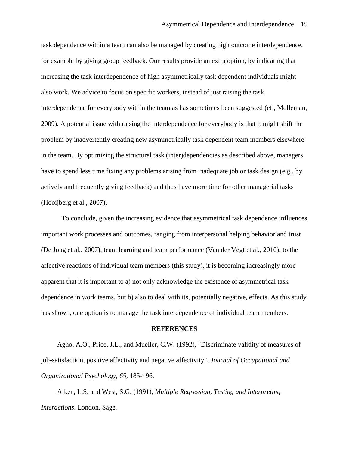task dependence within a team can also be managed by creating high outcome interdependence, for example by giving group feedback. Our results provide an extra option, by indicating that increasing the task interdependence of high asymmetrically task dependent individuals might also work. We advice to focus on specific workers, instead of just raising the task interdependence for everybody within the team as has sometimes been suggested (cf., Molleman, 2009). A potential issue with raising the interdependence for everybody is that it might shift the problem by inadvertently creating new asymmetrically task dependent team members elsewhere in the team. By optimizing the structural task (inter)dependencies as described above, managers have to spend less time fixing any problems arising from inadequate job or task design (e.g., by actively and frequently giving feedback) and thus have more time for other managerial tasks (Hooijberg et al., 2007).

To conclude, given the increasing evidence that asymmetrical task dependence influences important work processes and outcomes, ranging from interpersonal helping behavior and trust (De Jong et al., 2007), team learning and team performance (Van der Vegt et al., 2010), to the affective reactions of individual team members (this study), it is becoming increasingly more apparent that it is important to a) not only acknowledge the existence of asymmetrical task dependence in work teams, but b) also to deal with its, potentially negative, effects. As this study has shown, one option is to manage the task interdependence of individual team members.

#### **REFERENCES**

Agho, A.O., Price, J.L., and Mueller, C.W. (1992), "Discriminate validity of measures of job-satisfaction, positive affectivity and negative affectivity", *Journal of Occupational and Organizational Psychology, 65,* 185-196.

Aiken, L.S. and West, S.G. (1991), *Multiple Regression, Testing and Interpreting Interactions*. London, Sage.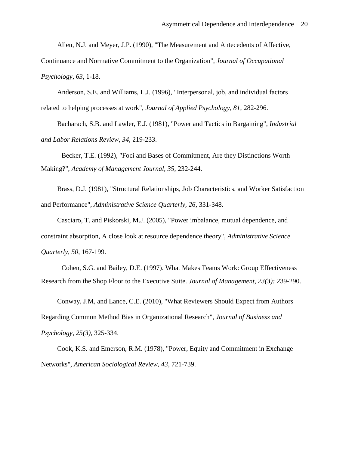Allen, N.J. and Meyer, J.P. (1990), "The Measurement and Antecedents of Affective,

Continuance and Normative Commitment to the Organization", *Journal of Occupational Psychology, 63,* 1-18.

Anderson, S.E. and Williams, L.J. (1996), "Interpersonal, job, and individual factors related to helping processes at work", *Journal of Applied Psychology, 81,* 282-296.

Bacharach, S.B. and Lawler, E.J. (1981), "Power and Tactics in Bargaining", *Industrial and Labor Relations Review, 34,* 219-233.

Becker, T.E. (1992), "Foci and Bases of Commitment, Are they Distinctions Worth Making?", *Academy of Management Journal, 35,* 232-244.

Brass, D.J. (1981), "Structural Relationships, Job Characteristics, and Worker Satisfaction and Performance", *Administrative Science Quarterly, 26,* 331-348.

Casciaro, T. and Piskorski, M.J. (2005), "Power imbalance, mutual dependence, and constraint absorption, A close look at resource dependence theory", *Administrative Science Quarterly, 50,* 167-199.

Cohen, S.G. and Bailey, D.E. (1997). What Makes Teams Work: Group Effectiveness Research from the Shop Floor to the Executive Suite. *Journal of Management, 23(3):* 239-290.

Conway, J.M, and Lance, C.E. (2010), "What Reviewers Should Expect from Authors Regarding Common Method Bias in Organizational Research", *Journal of Business and Psychology, 25(3)*, 325-334.

Cook, K.S. and Emerson, R.M. (1978), "Power, Equity and Commitment in Exchange Networks", *American Sociological Review, 43,* 721-739.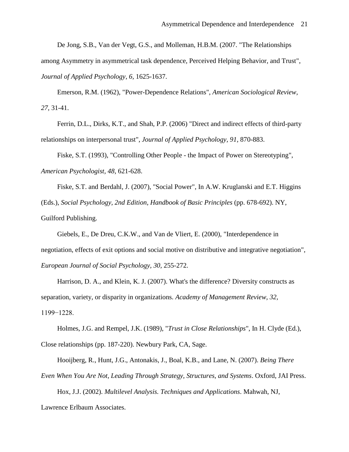De Jong, S.B., Van der Vegt, G.S., and Molleman, H.B.M. (2007. "The Relationships

among Asymmetry in asymmetrical task dependence, Perceived Helping Behavior, and Trust", *Journal of Applied Psychology, 6,* 1625-1637.

Emerson, R.M. (1962), "Power-Dependence Relations", *American Sociological Review, 27,* 31-41.

Ferrin, D.L., Dirks, K.T., and Shah, P.P. (2006) "Direct and indirect effects of third-party relationships on interpersonal trust", *Journal of Applied Psychology, 91,* 870-883.

Fiske, S.T. (1993), "Controlling Other People - the Impact of Power on Stereotyping", *American Psychologist, 48,* 621-628.

Fiske, S.T. and Berdahl, J. (2007), "Social Power", In A.W. Kruglanski and E.T. Higgins (Eds.), *Social Psychology, 2nd Edition, Handbook of Basic Principles* (pp. 678-692). NY, Guilford Publishing.

Giebels, E., De Dreu, C.K.W., and Van de Vliert, E. (2000), "Interdependence in negotiation, effects of exit options and social motive on distributive and integrative negotiation", *European Journal of Social Psychology, 30,* 255-272.

Harrison, D. A., and Klein, K. J. (2007). What's the difference? Diversity constructs as separation, variety, or disparity in organizations. *Academy of Management Review, 32,* 1199−1228.

Holmes, J.G. and Rempel, J.K. (1989), "*Trust in Close Relationships*", In H. Clyde (Ed.), Close relationships (pp. 187-220). Newbury Park, CA, Sage.

Hooijberg, R., Hunt, J.G., Antonakis, J., Boal, K.B., and Lane, N. (2007). *Being There* 

*Even When You Are Not, Leading Through Strategy, Structures, and Systems*. Oxford, JAI Press.

Hox, J.J. (2002). *Multilevel Analysis. Techniques and Applications*. Mahwah, NJ,

Lawrence Erlbaum Associates.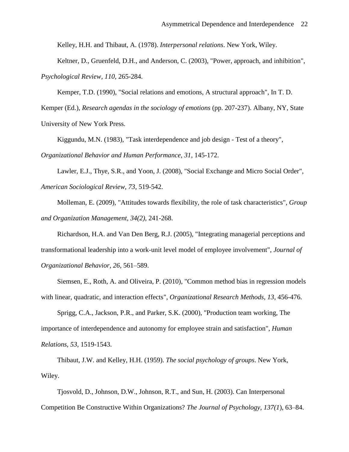Kelley, H.H. and Thibaut, A. (1978). *Interpersonal relations*. New York, Wiley.

Keltner, D., Gruenfeld, D.H., and Anderson, C. (2003), "Power, approach, and inhibition", *Psychological Review, 110,* 265-284.

Kemper, T.D. (1990), "Social relations and emotions, A structural approach", In T. D.

Kemper (Ed.), *Research agendas in the sociology of emotions* (pp. 207-237). Albany, NY, State University of New York Press.

Kiggundu, M.N. (1983), "Task interdependence and job design - Test of a theory", *Organizational Behavior and Human Performance, 31,* 145-172.

Lawler, E.J., Thye, S.R., and Yoon, J. (2008), "Social Exchange and Micro Social Order", *American Sociological Review, 73,* 519-542.

Molleman, E. (2009), "Attitudes towards flexibility, the role of task characteristics", *Group and Organization Management, 34(2),* 241-268.

Richardson, H.A. and Van Den Berg, R.J. (2005), "Integrating managerial perceptions and transformational leadership into a work-unit level model of employee involvement", *Journal of Organizational Behavior, 26,* 561–589.

Siemsen, E., Roth, A. and Oliveira, P. (2010), "Common method bias in regression models with linear, quadratic, and interaction effects", *Organizational Research Methods, 13,* 456-476.

Sprigg, C.A., Jackson, P.R., and Parker, S.K. (2000), "Production team working, The importance of interdependence and autonomy for employee strain and satisfaction", *Human Relations, 53,* 1519-1543.

Thibaut, J.W. and Kelley, H.H. (1959). *The social psychology of groups*. New York, Wiley.

Tjosvold, D., Johnson, D.W., Johnson, R.T., and Sun, H. (2003). Can Interpersonal Competition Be Constructive Within Organizations? *The Journal of Psychology, 137(1*), 63–84.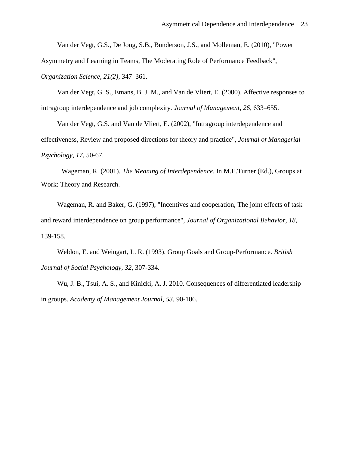Van der Vegt, G.S., De Jong, S.B., Bunderson, J.S., and Molleman, E. (2010), "Power

Asymmetry and Learning in Teams, The Moderating Role of Performance Feedback",

*Organization Science, 21(2),* 347–361.

Van der Vegt, G. S., Emans, B. J. M., and Van de Vliert, E. (2000). Affective responses to intragroup interdependence and job complexity. *Journal of Management, 26,* 633–655.

Van der Vegt, G.S. and Van de Vliert, E. (2002), "Intragroup interdependence and effectiveness, Review and proposed directions for theory and practice", *Journal of Managerial Psychology, 17*, 50-67.

Wageman, R. (2001). *The Meaning of Interdependence*. In M.E.Turner (Ed.), Groups at Work: Theory and Research.

Wageman, R. and Baker, G. (1997), "Incentives and cooperation, The joint effects of task and reward interdependence on group performance", *Journal of Organizational Behavior, 18,* 139-158.

Weldon, E. and Weingart, L. R. (1993). Group Goals and Group-Performance. *British Journal of Social Psychology, 32,* 307-334.

Wu, J. B., Tsui, A. S., and Kinicki, A. J. 2010. Consequences of differentiated leadership in groups. *Academy of Management Journal, 53,* 90-106.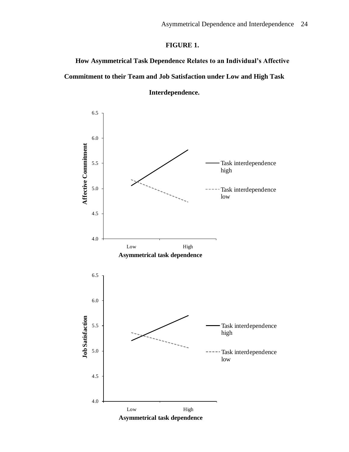# **FIGURE 1.**

**How Asymmetrical Task Dependence Relates to an Individual's Affective Commitment to their Team and Job Satisfaction under Low and High Task** 



**Interdependence.**

**Asymmetrical task dependence**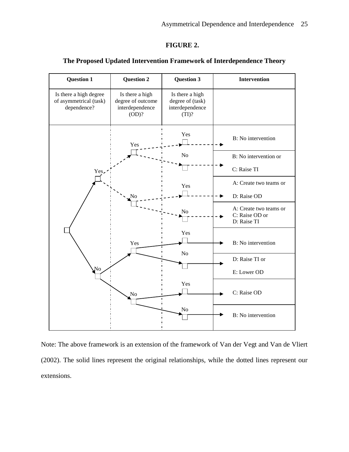## **FIGURE 2.**



## **The Proposed Updated Intervention Framework of Interdependence Theory**

Note: The above framework is an extension of the framework of Van der Vegt and Van de Vliert (2002). The solid lines represent the original relationships, while the dotted lines represent our extensions.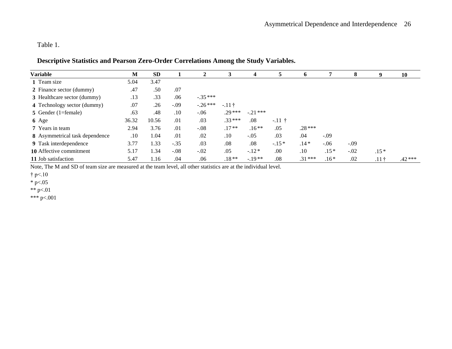Table 1.

# **Descriptive Statistics and Pearson Zero-Order Correlations Among the Study Variables.**

| Variable                              | М     | <b>SD</b> |        | 2         | 3        | 4         | 5       | 6        | 7      | 8      | 9            | 10       |
|---------------------------------------|-------|-----------|--------|-----------|----------|-----------|---------|----------|--------|--------|--------------|----------|
| 1 Team size                           | 5.04  | 3.47      |        |           |          |           |         |          |        |        |              |          |
| 2 Finance sector (dummy)              | .47   | .50       | .07    |           |          |           |         |          |        |        |              |          |
| 3 Healthcare sector (dummy)           | .13   | .33       | .06    | $-.35***$ |          |           |         |          |        |        |              |          |
| 4 Technology sector (dummy)           | .07   | .26       | $-.09$ | $-.26***$ | $-.11$ † |           |         |          |        |        |              |          |
| 5 Gender (1=female)                   | .63   | .48       | .10    | $-.06$    | $.29***$ | $-.21***$ |         |          |        |        |              |          |
| 6 Age                                 | 36.32 | 10.56     | .01    | .03       | $.33***$ | .08       | $-11$ † |          |        |        |              |          |
| 7 Years in team                       | 2.94  | 3.76      | .01    | $-.08$    | $.17**$  | $.16**$   | .05     | $.28***$ |        |        |              |          |
| <b>8</b> Asymmetrical task dependence | .10   | 1.04      | .01    | .02       | .10      | $-.05$    | .03     | .04      | $-.09$ |        |              |          |
| 9 Task interdependence                | 3.77  | 1.33      | $-.35$ | .03       | .08      | .08       | $-.15*$ | $.14*$   | $-.06$ | $-.09$ |              |          |
| 10 Affective commitment               | 5.17  | 1.34      | $-.08$ | $-.02$    | .05      | $-.12*$   | .00     | .10      | $.15*$ | $-.02$ | $.15*$       |          |
| 11 Job satisfaction                   | 5.47  | 1.16      | .04    | .06       | $.18**$  | $-.19**$  | .08     | $.31***$ | $.16*$ | .02    | $.11\dagger$ | $.42***$ |

Note, The M and SD of team size are measured at the team level, all other statistics are at the individual level.

† p<.10

 $*$  p<.05

\*\* p<.01

\*\*\* p<.001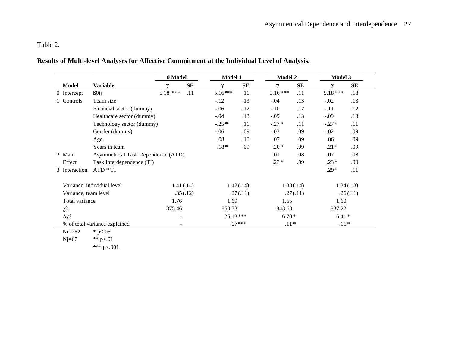# Table 2.

# **Results of Multi-level Analyses for Affective Commitment at the Individual Level of Analysis.**

|                      |                                           | 0 Model    |            | Model 1    |     | <b>Model 2</b> |     | Model 3    |           |
|----------------------|-------------------------------------------|------------|------------|------------|-----|----------------|-----|------------|-----------|
| Model                | <b>Variable</b>                           |            | SE         |            | SE  | $\mathbf v$    | SE  |            | <b>SE</b> |
| 0 Intercept          | B0ij                                      | $5.18$ *** | .11        | $5.16***$  | .11 | $5.16***$      | .11 | $5.18***$  | .18       |
| Controls             | Team size                                 |            |            | $-.12$     | .13 | $-.04$         | .13 | $-.02$     | .13       |
|                      | Financial sector (dummy)                  |            |            | $-.06$     | .12 | $-.10$         | .12 | $-.11$     | .12       |
|                      | Healthcare sector (dummy)                 |            |            | $-.04$     | .13 | $-.09$         | .13 | $-.09$     | .13       |
|                      | Technology sector (dummy)                 |            |            | $-.25*$    | .11 | $-.27*$        | .11 | $-.27*$    | .11       |
|                      | Gender (dummy)                            |            |            | $-.06$     | .09 | $-.03$         | .09 | $-.02$     | .09       |
|                      | Age                                       |            |            | .08        | .10 | .07            | .09 | .06        | .09       |
|                      | Years in team                             |            |            | $.18*$     | .09 | $.20*$         | .09 | $.21*$     | .09       |
| 2 Main               | <b>Asymmetrical Task Dependence (ATD)</b> |            |            |            |     | .01            | .08 | .07        | .08       |
| Effect               | Task Interdependence (TI)                 |            |            |            |     | $.23*$         | .09 | $.23*$     | .09       |
| 3 Interaction        | $ATD * TI$                                |            |            |            |     |                |     | $.29*$     | .11       |
|                      | Variance, individual level                |            | 1.41(0.14) | 1.42(0.14) |     | 1.38(.14)      |     | 1.34(0.13) |           |
| Variance, team level |                                           |            | .35(.12)   | .27(.11)   |     | .27(.11)       |     | .26(.11)   |           |
| Total variance       |                                           | 1.76       |            | 1.69       |     | 1.65           |     | 1.60       |           |
| $\chi$ <sup>2</sup>  |                                           | 875.46     |            | 850.33     |     | 843.63         |     | 837.22     |           |
| Δχ2                  |                                           |            |            | $25.13***$ |     | $6.70*$        |     | $6.41*$    |           |
|                      | % of total variance explained             |            |            | $.07***$   |     | $.11*$         |     | $.16*$     |           |

Ni=262  $* p < .05$ <br>Nj=67  $* p < .01$ 

\*\* p<.01

\*\*\* p<.001